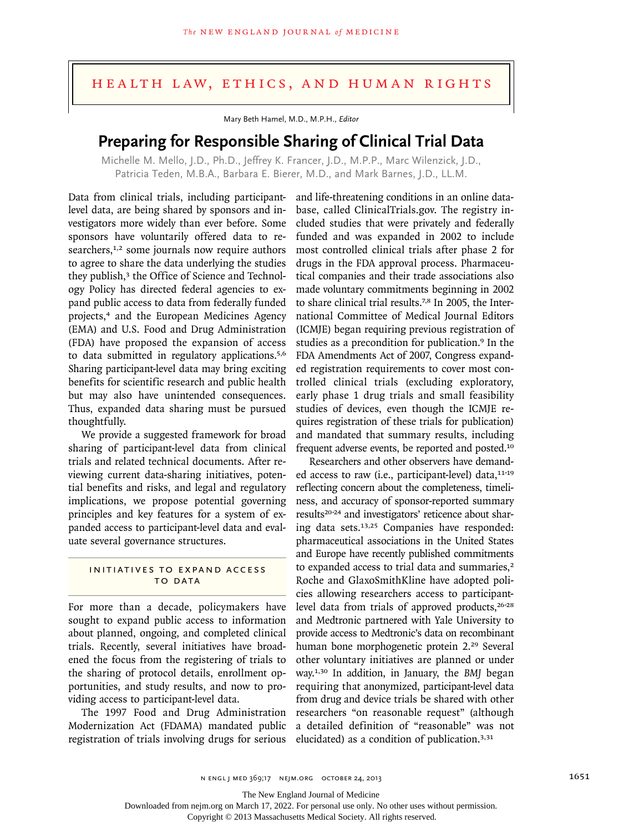## HEALTH LAW, ETHICS, AND HUMAN RIGHTS

Mary Beth Hamel, M.D., M.P.H., *Editor*

# **Preparing for Responsible Sharing of Clinical Trial Data**

Michelle M. Mello, J.D., Ph.D., Jeffrey K. Francer, J.D., M.P.P., Marc Wilenzick, J.D., Patricia Teden, M.B.A., Barbara E. Bierer, M.D., and Mark Barnes, J.D., LL.M.

Data from clinical trials, including participantlevel data, are being shared by sponsors and investigators more widely than ever before. Some sponsors have voluntarily offered data to researchers, $1,2$  some journals now require authors to agree to share the data underlying the studies they publish,<sup>3</sup> the Office of Science and Technology Policy has directed federal agencies to expand public access to data from federally funded projects,4 and the European Medicines Agency (EMA) and U.S. Food and Drug Administration (FDA) have proposed the expansion of access to data submitted in regulatory applications.5,6 Sharing participant-level data may bring exciting benefits for scientific research and public health but may also have unintended consequences. Thus, expanded data sharing must be pursued thoughtfully.

We provide a suggested framework for broad sharing of participant-level data from clinical trials and related technical documents. After reviewing current data-sharing initiatives, potential benefits and risks, and legal and regulatory implications, we propose potential governing principles and key features for a system of expanded access to participant-level data and evaluate several governance structures.

#### Initiatives to Expand Access TO DATA

For more than a decade, policymakers have sought to expand public access to information about planned, ongoing, and completed clinical trials. Recently, several initiatives have broadened the focus from the registering of trials to the sharing of protocol details, enrollment opportunities, and study results, and now to providing access to participant-level data.

The 1997 Food and Drug Administration Modernization Act (FDAMA) mandated public registration of trials involving drugs for serious and life-threatening conditions in an online database, called ClinicalTrials.gov. The registry included studies that were privately and federally funded and was expanded in 2002 to include most controlled clinical trials after phase 2 for drugs in the FDA approval process. Pharmaceutical companies and their trade associations also made voluntary commitments beginning in 2002 to share clinical trial results.7,8 In 2005, the International Committee of Medical Journal Editors (ICMJE) began requiring previous registration of studies as a precondition for publication.<sup>9</sup> In the FDA Amendments Act of 2007, Congress expanded registration requirements to cover most controlled clinical trials (excluding exploratory, early phase 1 drug trials and small feasibility studies of devices, even though the ICMJE requires registration of these trials for publication) and mandated that summary results, including frequent adverse events, be reported and posted.<sup>10</sup>

Researchers and other observers have demanded access to raw (i.e., participant-level) data, $11-19$ reflecting concern about the completeness, timeliness, and accuracy of sponsor-reported summary results<sup>20-24</sup> and investigators' reticence about sharing data sets.13,25 Companies have responded: pharmaceutical associations in the United States and Europe have recently published commitments to expanded access to trial data and summaries,<sup>2</sup> Roche and GlaxoSmithKline have adopted policies allowing researchers access to participantlevel data from trials of approved products,<sup>26-28</sup> and Medtronic partnered with Yale University to provide access to Medtronic's data on recombinant human bone morphogenetic protein 2.29 Several other voluntary initiatives are planned or under way.1,30 In addition, in January, the *BMJ* began requiring that anonymized, participant-level data from drug and device trials be shared with other researchers "on reasonable request" (although a detailed definition of "reasonable" was not elucidated) as a condition of publication.3,31

The New England Journal of Medicine

Downloaded from nejm.org on March 17, 2022. For personal use only. No other uses without permission.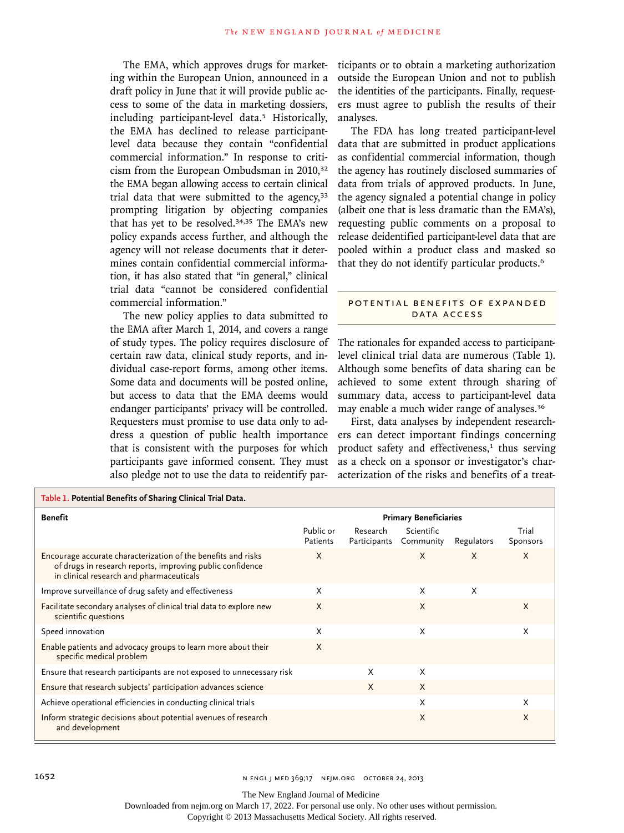The EMA, which approves drugs for marketing within the European Union, announced in a draft policy in June that it will provide public access to some of the data in marketing dossiers, including participant-level data.5 Historically, the EMA has declined to release participantlevel data because they contain "confidential commercial information." In response to criticism from the European Ombudsman in 2010,<sup>32</sup> the EMA began allowing access to certain clinical trial data that were submitted to the agency,<sup>33</sup> prompting litigation by objecting companies that has yet to be resolved.34,35 The EMA's new policy expands access further, and although the agency will not release documents that it determines contain confidential commercial information, it has also stated that "in general," clinical trial data "cannot be considered confidential commercial information."

The new policy applies to data submitted to the EMA after March 1, 2014, and covers a range of study types. The policy requires disclosure of certain raw data, clinical study reports, and individual case-report forms, among other items. Some data and documents will be posted online, but access to data that the EMA deems would endanger participants' privacy will be controlled. Requesters must promise to use data only to address a question of public health importance that is consistent with the purposes for which participants gave informed consent. They must also pledge not to use the data to reidentify participants or to obtain a marketing authorization outside the European Union and not to publish the identities of the participants. Finally, requesters must agree to publish the results of their analyses.

The FDA has long treated participant-level data that are submitted in product applications as confidential commercial information, though the agency has routinely disclosed summaries of data from trials of approved products. In June, the agency signaled a potential change in policy (albeit one that is less dramatic than the EMA's), requesting public comments on a proposal to release deidentified participant-level data that are pooled within a product class and masked so that they do not identify particular products.<sup>6</sup>

#### Potential Benefits of Expanded DATA ACCESS

The rationales for expanded access to participantlevel clinical trial data are numerous (Table 1). Although some benefits of data sharing can be achieved to some extent through sharing of summary data, access to participant-level data may enable a much wider range of analyses.<sup>36</sup>

First, data analyses by independent researchers can detect important findings concerning product safety and effectiveness, $<sup>1</sup>$  thus serving</sup> as a check on a sponsor or investigator's characterization of the risks and benefits of a treat-

| Table 1. Potential Benefits of Sharing Clinical Trial Data.                                                                                                            |                              |                          |                         |            |                   |
|------------------------------------------------------------------------------------------------------------------------------------------------------------------------|------------------------------|--------------------------|-------------------------|------------|-------------------|
| <b>Benefit</b>                                                                                                                                                         | <b>Primary Beneficiaries</b> |                          |                         |            |                   |
|                                                                                                                                                                        | Public or<br>Patients        | Research<br>Participants | Scientific<br>Community | Regulators | Trial<br>Sponsors |
| Encourage accurate characterization of the benefits and risks<br>of drugs in research reports, improving public confidence<br>in clinical research and pharmaceuticals | X                            |                          | $\times$                | X          | X                 |
| Improve surveillance of drug safety and effectiveness                                                                                                                  | X                            |                          | X                       | X          |                   |
| Facilitate secondary analyses of clinical trial data to explore new<br>scientific questions                                                                            | $\times$                     |                          | $\times$                |            | X                 |
| Speed innovation                                                                                                                                                       | X                            |                          | X                       |            | X                 |
| Enable patients and advocacy groups to learn more about their<br>specific medical problem                                                                              | X                            |                          |                         |            |                   |
| Ensure that research participants are not exposed to unnecessary risk                                                                                                  |                              | X                        | X                       |            |                   |
| Ensure that research subjects' participation advances science                                                                                                          |                              | X                        | $\mathsf{X}$            |            |                   |
| Achieve operational efficiencies in conducting clinical trials                                                                                                         |                              |                          | X                       |            | X                 |
| Inform strategic decisions about potential avenues of research<br>and development                                                                                      |                              |                          | X                       |            | X                 |

The New England Journal of Medicine

Downloaded from nejm.org on March 17, 2022. For personal use only. No other uses without permission.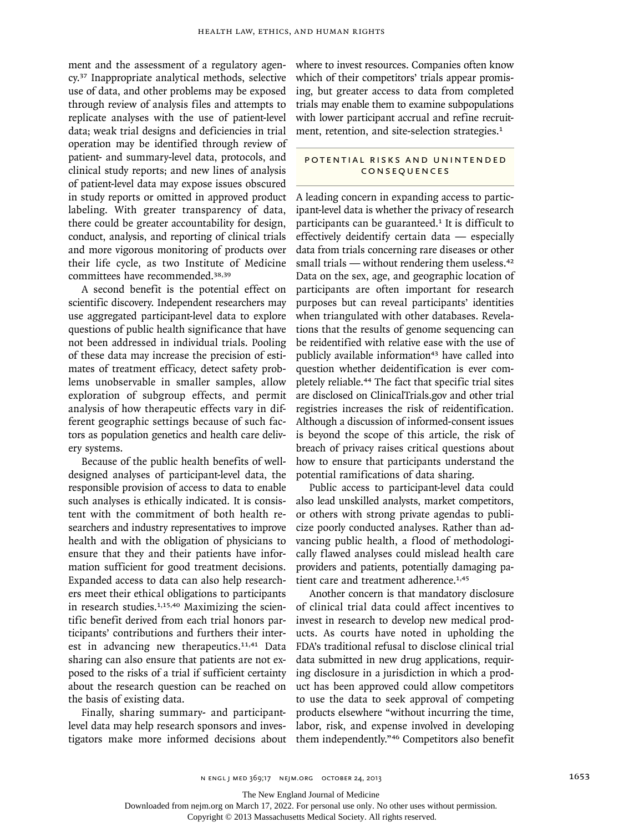ment and the assessment of a regulatory agency.37 Inappropriate analytical methods, selective use of data, and other problems may be exposed through review of analysis files and attempts to replicate analyses with the use of patient-level data; weak trial designs and deficiencies in trial operation may be identified through review of patient- and summary-level data, protocols, and clinical study reports; and new lines of analysis of patient-level data may expose issues obscured in study reports or omitted in approved product labeling. With greater transparency of data, there could be greater accountability for design, conduct, analysis, and reporting of clinical trials and more vigorous monitoring of products over their life cycle, as two Institute of Medicine committees have recommended.38,39

A second benefit is the potential effect on scientific discovery. Independent researchers may use aggregated participant-level data to explore questions of public health significance that have not been addressed in individual trials. Pooling of these data may increase the precision of estimates of treatment efficacy, detect safety problems unobservable in smaller samples, allow exploration of subgroup effects, and permit analysis of how therapeutic effects vary in different geographic settings because of such factors as population genetics and health care delivery systems.

Because of the public health benefits of welldesigned analyses of participant-level data, the responsible provision of access to data to enable such analyses is ethically indicated. It is consistent with the commitment of both health researchers and industry representatives to improve health and with the obligation of physicians to ensure that they and their patients have information sufficient for good treatment decisions. Expanded access to data can also help researchers meet their ethical obligations to participants in research studies.<sup>1,15,40</sup> Maximizing the scientific benefit derived from each trial honors participants' contributions and furthers their interest in advancing new therapeutics. $11,41$  Data sharing can also ensure that patients are not exposed to the risks of a trial if sufficient certainty about the research question can be reached on the basis of existing data.

Finally, sharing summary- and participantlevel data may help research sponsors and investigators make more informed decisions about where to invest resources. Companies often know which of their competitors' trials appear promising, but greater access to data from completed trials may enable them to examine subpopulations with lower participant accrual and refine recruitment, retention, and site-selection strategies.<sup>1</sup>

### Potential Risks and Unintended Consequences

A leading concern in expanding access to participant-level data is whether the privacy of research participants can be guaranteed.<sup>1</sup> It is difficult to effectively deidentify certain data — especially data from trials concerning rare diseases or other small trials — without rendering them useless. $42$ Data on the sex, age, and geographic location of participants are often important for research purposes but can reveal participants' identities when triangulated with other databases. Revelations that the results of genome sequencing can be reidentified with relative ease with the use of publicly available information<sup>43</sup> have called into question whether deidentification is ever completely reliable.44 The fact that specific trial sites are disclosed on ClinicalTrials.gov and other trial registries increases the risk of reidentification. Although a discussion of informed-consent issues is beyond the scope of this article, the risk of breach of privacy raises critical questions about how to ensure that participants understand the potential ramifications of data sharing.

Public access to participant-level data could also lead unskilled analysts, market competitors, or others with strong private agendas to publicize poorly conducted analyses. Rather than advancing public health, a flood of methodologically flawed analyses could mislead health care providers and patients, potentially damaging patient care and treatment adherence.<sup>1,45</sup>

Another concern is that mandatory disclosure of clinical trial data could affect incentives to invest in research to develop new medical products. As courts have noted in upholding the FDA's traditional refusal to disclose clinical trial data submitted in new drug applications, requiring disclosure in a jurisdiction in which a product has been approved could allow competitors to use the data to seek approval of competing products elsewhere "without incurring the time, labor, risk, and expense involved in developing them independently."46 Competitors also benefit

The New England Journal of Medicine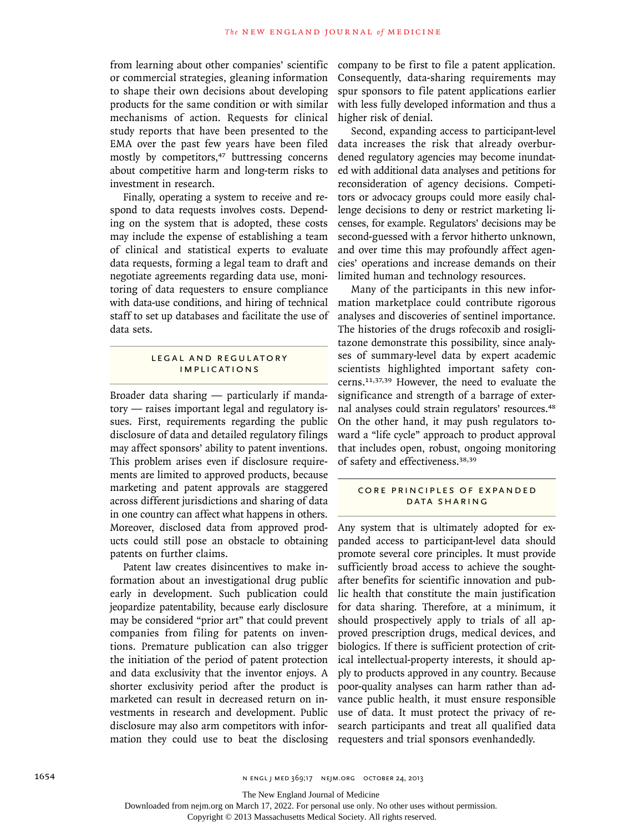from learning about other companies' scientific or commercial strategies, gleaning information to shape their own decisions about developing products for the same condition or with similar mechanisms of action. Requests for clinical study reports that have been presented to the EMA over the past few years have been filed mostly by competitors,<sup>47</sup> buttressing concerns about competitive harm and long-term risks to investment in research.

Finally, operating a system to receive and respond to data requests involves costs. Depending on the system that is adopted, these costs may include the expense of establishing a team of clinical and statistical experts to evaluate data requests, forming a legal team to draft and negotiate agreements regarding data use, monitoring of data requesters to ensure compliance with data-use conditions, and hiring of technical staff to set up databases and facilitate the use of data sets.

#### LEGAL AND REGULATORY **IMPLICATIONS**

Broader data sharing — particularly if mandatory — raises important legal and regulatory issues. First, requirements regarding the public disclosure of data and detailed regulatory filings may affect sponsors' ability to patent inventions. This problem arises even if disclosure requirements are limited to approved products, because marketing and patent approvals are staggered across different jurisdictions and sharing of data in one country can affect what happens in others. Moreover, disclosed data from approved products could still pose an obstacle to obtaining patents on further claims.

Patent law creates disincentives to make information about an investigational drug public early in development. Such publication could jeopardize patentability, because early disclosure may be considered "prior art" that could prevent companies from filing for patents on inventions. Premature publication can also trigger the initiation of the period of patent protection and data exclusivity that the inventor enjoys. A shorter exclusivity period after the product is marketed can result in decreased return on investments in research and development. Public disclosure may also arm competitors with information they could use to beat the disclosing company to be first to file a patent application. Consequently, data-sharing requirements may spur sponsors to file patent applications earlier with less fully developed information and thus a higher risk of denial.

Second, expanding access to participant-level data increases the risk that already overburdened regulatory agencies may become inundated with additional data analyses and petitions for reconsideration of agency decisions. Competitors or advocacy groups could more easily challenge decisions to deny or restrict marketing licenses, for example. Regulators' decisions may be second-guessed with a fervor hitherto unknown, and over time this may profoundly affect agencies' operations and increase demands on their limited human and technology resources.

Many of the participants in this new information marketplace could contribute rigorous analyses and discoveries of sentinel importance. The histories of the drugs rofecoxib and rosiglitazone demonstrate this possibility, since analyses of summary-level data by expert academic scientists highlighted important safety concerns.11,37,39 However, the need to evaluate the significance and strength of a barrage of external analyses could strain regulators' resources.<sup>48</sup> On the other hand, it may push regulators toward a "life cycle" approach to product approval that includes open, robust, ongoing monitoring of safety and effectiveness.38,39

#### Core Principles of Expanded DATA SHARING

Any system that is ultimately adopted for expanded access to participant-level data should promote several core principles. It must provide sufficiently broad access to achieve the soughtafter benefits for scientific innovation and public health that constitute the main justification for data sharing. Therefore, at a minimum, it should prospectively apply to trials of all approved prescription drugs, medical devices, and biologics. If there is sufficient protection of critical intellectual-property interests, it should apply to products approved in any country. Because poor-quality analyses can harm rather than advance public health, it must ensure responsible use of data. It must protect the privacy of research participants and treat all qualified data requesters and trial sponsors evenhandedly.

The New England Journal of Medicine

Downloaded from nejm.org on March 17, 2022. For personal use only. No other uses without permission.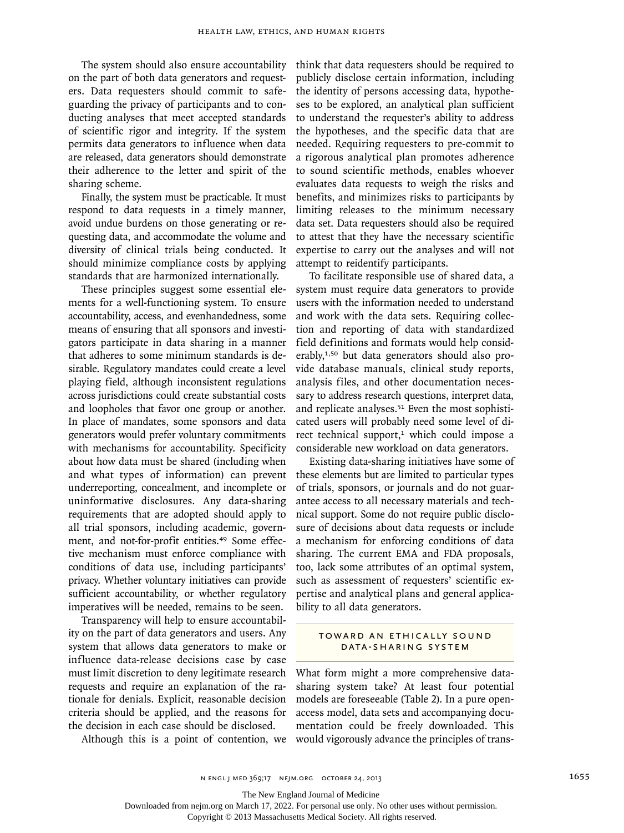The system should also ensure accountability on the part of both data generators and requesters. Data requesters should commit to safeguarding the privacy of participants and to conducting analyses that meet accepted standards of scientific rigor and integrity. If the system permits data generators to influence when data are released, data generators should demonstrate their adherence to the letter and spirit of the sharing scheme.

Finally, the system must be practicable. It must respond to data requests in a timely manner, avoid undue burdens on those generating or requesting data, and accommodate the volume and diversity of clinical trials being conducted. It should minimize compliance costs by applying standards that are harmonized internationally.

These principles suggest some essential elements for a well-functioning system. To ensure accountability, access, and evenhandedness, some means of ensuring that all sponsors and investigators participate in data sharing in a manner that adheres to some minimum standards is desirable. Regulatory mandates could create a level playing field, although inconsistent regulations across jurisdictions could create substantial costs and loopholes that favor one group or another. In place of mandates, some sponsors and data generators would prefer voluntary commitments with mechanisms for accountability. Specificity about how data must be shared (including when and what types of information) can prevent underreporting, concealment, and incomplete or uninformative disclosures. Any data-sharing requirements that are adopted should apply to all trial sponsors, including academic, government, and not-for-profit entities.<sup>49</sup> Some effective mechanism must enforce compliance with conditions of data use, including participants' privacy. Whether voluntary initiatives can provide sufficient accountability, or whether regulatory imperatives will be needed, remains to be seen.

Transparency will help to ensure accountability on the part of data generators and users. Any system that allows data generators to make or influence data-release decisions case by case must limit discretion to deny legitimate research requests and require an explanation of the rationale for denials. Explicit, reasonable decision criteria should be applied, and the reasons for the decision in each case should be disclosed.

think that data requesters should be required to publicly disclose certain information, including the identity of persons accessing data, hypotheses to be explored, an analytical plan sufficient to understand the requester's ability to address the hypotheses, and the specific data that are needed. Requiring requesters to pre-commit to a rigorous analytical plan promotes adherence to sound scientific methods, enables whoever evaluates data requests to weigh the risks and benefits, and minimizes risks to participants by limiting releases to the minimum necessary data set. Data requesters should also be required to attest that they have the necessary scientific expertise to carry out the analyses and will not attempt to reidentify participants.

To facilitate responsible use of shared data, a system must require data generators to provide users with the information needed to understand and work with the data sets. Requiring collection and reporting of data with standardized field definitions and formats would help considerably,<sup>1,50</sup> but data generators should also provide database manuals, clinical study reports, analysis files, and other documentation necessary to address research questions, interpret data, and replicate analyses.<sup>51</sup> Even the most sophisticated users will probably need some level of direct technical support, $1$  which could impose a considerable new workload on data generators.

Existing data-sharing initiatives have some of these elements but are limited to particular types of trials, sponsors, or journals and do not guarantee access to all necessary materials and technical support. Some do not require public disclosure of decisions about data requests or include a mechanism for enforcing conditions of data sharing. The current EMA and FDA proposals, too, lack some attributes of an optimal system, such as assessment of requesters' scientific expertise and analytical plans and general applicability to all data generators.

#### TOWARD AN ETHICALLY SOUND Data-Sharing System

Although this is a point of contention, we would vigorously advance the principles of trans-What form might a more comprehensive datasharing system take? At least four potential models are foreseeable (Table 2). In a pure openaccess model, data sets and accompanying documentation could be freely downloaded. This

The New England Journal of Medicine

Downloaded from nejm.org on March 17, 2022. For personal use only. No other uses without permission.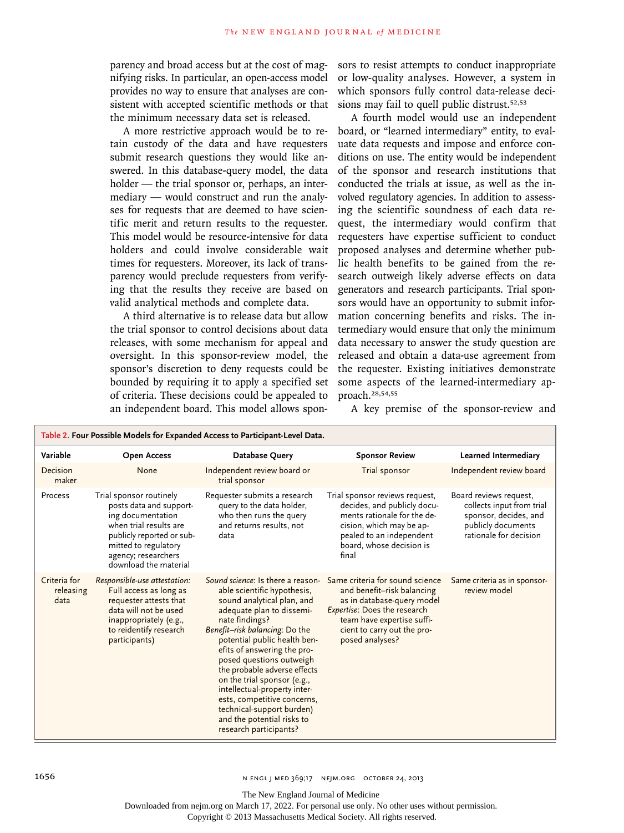parency and broad access but at the cost of magnifying risks. In particular, an open-access model provides no way to ensure that analyses are consistent with accepted scientific methods or that the minimum necessary data set is released.

A more restrictive approach would be to retain custody of the data and have requesters submit research questions they would like answered. In this database-query model, the data holder — the trial sponsor or, perhaps, an intermediary — would construct and run the analyses for requests that are deemed to have scientific merit and return results to the requester. This model would be resource-intensive for data holders and could involve considerable wait times for requesters. Moreover, its lack of transparency would preclude requesters from verifying that the results they receive are based on valid analytical methods and complete data.

A third alternative is to release data but allow the trial sponsor to control decisions about data releases, with some mechanism for appeal and oversight. In this sponsor-review model, the sponsor's discretion to deny requests could be bounded by requiring it to apply a specified set of criteria. These decisions could be appealed to an independent board. This model allows spon-

sors to resist attempts to conduct inappropriate or low-quality analyses. However, a system in which sponsors fully control data-release decisions may fail to quell public distrust.<sup>52,53</sup>

A fourth model would use an independent board, or "learned intermediary" entity, to evaluate data requests and impose and enforce conditions on use. The entity would be independent of the sponsor and research institutions that conducted the trials at issue, as well as the involved regulatory agencies. In addition to assessing the scientific soundness of each data request, the intermediary would confirm that requesters have expertise sufficient to conduct proposed analyses and determine whether public health benefits to be gained from the research outweigh likely adverse effects on data generators and research participants. Trial sponsors would have an opportunity to submit information concerning benefits and risks. The intermediary would ensure that only the minimum data necessary to answer the study question are released and obtain a data-use agreement from the requester. Existing initiatives demonstrate some aspects of the learned-intermediary approach.28,54,55

A key premise of the sponsor-review and

| Table 2. Four Possible Models for Expanded Access to Participant-Level Data. |                                                                                                                                                                                                        |                                                                                                                                                                                                                                                                                                                                                                                                                                                                                               |                                                                                                                                                                                                             |                                                                                                                              |  |  |  |
|------------------------------------------------------------------------------|--------------------------------------------------------------------------------------------------------------------------------------------------------------------------------------------------------|-----------------------------------------------------------------------------------------------------------------------------------------------------------------------------------------------------------------------------------------------------------------------------------------------------------------------------------------------------------------------------------------------------------------------------------------------------------------------------------------------|-------------------------------------------------------------------------------------------------------------------------------------------------------------------------------------------------------------|------------------------------------------------------------------------------------------------------------------------------|--|--|--|
| Variable                                                                     | <b>Open Access</b>                                                                                                                                                                                     | Database Query                                                                                                                                                                                                                                                                                                                                                                                                                                                                                | <b>Sponsor Review</b>                                                                                                                                                                                       | Learned Intermediary                                                                                                         |  |  |  |
| <b>Decision</b><br>maker                                                     | None                                                                                                                                                                                                   | Independent review board or<br>trial sponsor                                                                                                                                                                                                                                                                                                                                                                                                                                                  | Trial sponsor                                                                                                                                                                                               | Independent review board                                                                                                     |  |  |  |
| Process                                                                      | Trial sponsor routinely<br>posts data and support-<br>ing documentation<br>when trial results are<br>publicly reported or sub-<br>mitted to regulatory<br>agency; researchers<br>download the material | Requester submits a research<br>query to the data holder,<br>who then runs the query<br>and returns results, not<br>data                                                                                                                                                                                                                                                                                                                                                                      | Trial sponsor reviews request,<br>decides, and publicly docu-<br>ments rationale for the de-<br>cision, which may be ap-<br>pealed to an independent<br>board, whose decision is<br>final                   | Board reviews request,<br>collects input from trial<br>sponsor, decides, and<br>publicly documents<br>rationale for decision |  |  |  |
| Criteria for<br>releasing<br>data                                            | Responsible-use attestation:<br>Full access as long as<br>requester attests that<br>data will not be used<br>inappropriately (e.g.,<br>to reidentify research<br>participants)                         | Sound science: Is there a reason-<br>able scientific hypothesis,<br>sound analytical plan, and<br>adequate plan to dissemi-<br>nate findings?<br>Benefit-risk balancing: Do the<br>potential public health ben-<br>efits of answering the pro-<br>posed questions outweigh<br>the probable adverse effects<br>on the trial sponsor (e.g.,<br>intellectual-property inter-<br>ests, competitive concerns,<br>technical-support burden)<br>and the potential risks to<br>research participants? | Same criteria for sound science<br>and benefit-risk balancing<br>as in database-query model<br>Expertise: Does the research<br>team have expertise suffi-<br>cient to carry out the pro-<br>posed analyses? | Same criteria as in sponsor-<br>review model                                                                                 |  |  |  |

Downloaded from nejm.org on March 17, 2022. For personal use only. No other uses without permission.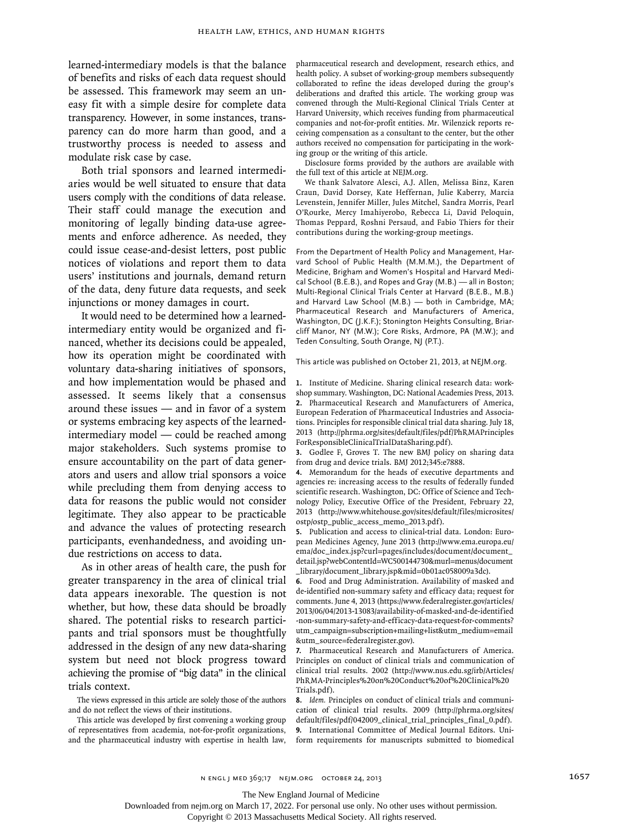learned-intermediary models is that the balance of benefits and risks of each data request should be assessed. This framework may seem an uneasy fit with a simple desire for complete data transparency. However, in some instances, transparency can do more harm than good, and a trustworthy process is needed to assess and modulate risk case by case.

Both trial sponsors and learned intermediaries would be well situated to ensure that data users comply with the conditions of data release. Their staff could manage the execution and monitoring of legally binding data-use agreements and enforce adherence. As needed, they could issue cease-and-desist letters, post public notices of violations and report them to data users' institutions and journals, demand return of the data, deny future data requests, and seek injunctions or money damages in court.

It would need to be determined how a learnedintermediary entity would be organized and financed, whether its decisions could be appealed, how its operation might be coordinated with voluntary data-sharing initiatives of sponsors, and how implementation would be phased and assessed. It seems likely that a consensus around these issues — and in favor of a system or systems embracing key aspects of the learnedintermediary model — could be reached among major stakeholders. Such systems promise to ensure accountability on the part of data generators and users and allow trial sponsors a voice while precluding them from denying access to data for reasons the public would not consider legitimate. They also appear to be practicable and advance the values of protecting research participants, evenhandedness, and avoiding undue restrictions on access to data.

As in other areas of health care, the push for greater transparency in the area of clinical trial data appears inexorable. The question is not whether, but how, these data should be broadly shared. The potential risks to research participants and trial sponsors must be thoughtfully addressed in the design of any new data-sharing system but need not block progress toward achieving the promise of "big data" in the clinical trials context.

The views expressed in this article are solely those of the authors and do not reflect the views of their institutions.

This article was developed by first convening a working group of representatives from academia, not-for-profit organizations, and the pharmaceutical industry with expertise in health law, pharmaceutical research and development, research ethics, and health policy. A subset of working-group members subsequently collaborated to refine the ideas developed during the group's deliberations and drafted this article. The working group was convened through the Multi-Regional Clinical Trials Center at Harvard University, which receives funding from pharmaceutical companies and not-for-profit entities. Mr. Wilenzick reports receiving compensation as a consultant to the center, but the other authors received no compensation for participating in the working group or the writing of this article.

Disclosure forms provided by the authors are available with the full text of this article at NEJM.org.

We thank Salvatore Alesci, A.J. Allen, Melissa Binz, Karen Craun, David Dorsey, Kate Heffernan, Julie Kaberry, Marcia Levenstein, Jennifer Miller, Jules Mitchel, Sandra Morris, Pearl O'Rourke, Mercy Imahiyerobo, Rebecca Li, David Peloquin, Thomas Peppard, Roshni Persaud, and Fabio Thiers for their contributions during the working-group meetings.

From the Department of Health Policy and Management, Harvard School of Public Health (M.M.M.), the Department of Medicine, Brigham and Women's Hospital and Harvard Medical School (B.E.B.), and Ropes and Gray (M.B.) — all in Boston; Multi-Regional Clinical Trials Center at Harvard (B.E.B., M.B.) and Harvard Law School (M.B.) — both in Cambridge, MA; Pharmaceutical Research and Manufacturers of America, Washington, DC (J.K.F.); Stonington Heights Consulting, Briarcliff Manor, NY (M.W.); Core Risks, Ardmore, PA (M.W.); and Teden Consulting, South Orange, NJ (P.T.).

#### This article was published on October 21, 2013, at NEJM.org.

**1.** Institute of Medicine. Sharing clinical research data: workshop summary. Washington, DC: National Academies Press, 2013. **2.** Pharmaceutical Research and Manufacturers of America, European Federation of Pharmaceutical Industries and Associations. Principles for responsible clinical trial data sharing. July 18, 2013 (http://phrma.org/sites/default/files/pdf/PhRMAPrinciples ForResponsibleClinicalTrialDataSharing.pdf).

**3.** Godlee F, Groves T. The new BMJ policy on sharing data from drug and device trials. BMJ 2012;345:e7888.

**4.** Memorandum for the heads of executive departments and agencies re: increasing access to the results of federally funded scientific research. Washington, DC: Office of Science and Technology Policy, Executive Office of the President, February 22, 2013 (http://www.whitehouse.gov/sites/default/files/microsites/ ostp/ostp\_public\_access\_memo\_2013.pdf).

**5.** Publication and access to clinical-trial data. London: European Medicines Agency, June 2013 (http://www.ema.europa.eu/ ema/doc\_index.jsp?curl=pages/includes/document/document\_ detail.jsp?webContentId=WC500144730&murl=menus/document \_library/document\_library.jsp&mid=0b01ac058009a3dc).

**6.** Food and Drug Administration. Availability of masked and de-identified non-summary safety and efficacy data; request for comments. June 4, 2013 (https://www.federalregister.gov/articles/ 2013/06/04/2013-13083/availability-of-masked-and-de-identified -non-summary-safety-and-efficacy-data-request-for-comments? utm\_campaign=subscription+mailing+list&utm\_medium=email &utm\_source=federalregister.gov).

**7.** Pharmaceutical Research and Manufacturers of America. Principles on conduct of clinical trials and communication of clinical trial results. 2002 (http://www.nus.edu.sg/irb/Articles/ PhRMA-Principles%20on%20Conduct%20of%20Clinical%20 Trials.pdf).

**8.** *Idem.* Principles on conduct of clinical trials and communication of clinical trial results. 2009 (http://phrma.org/sites/ default/files/pdf/042009\_clinical\_trial\_principles\_final\_0.pdf). **9.** International Committee of Medical Journal Editors. Uniform requirements for manuscripts submitted to biomedical

The New England Journal of Medicine

Downloaded from nejm.org on March 17, 2022. For personal use only. No other uses without permission.